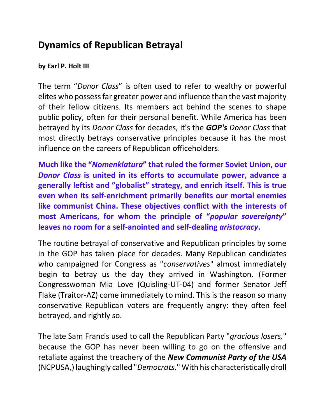## **Dynamics of Republican Betrayal**

## **by Earl P. Holt III**

The term "*Donor Class*" is often used to refer to wealthy or powerful elites who possess far greater power and influence than the vast majority of their fellow citizens. Its members act behind the scenes to shape public policy, often for their personal benefit. While America has been betrayed by its *Donor Class* for decades, it's the *GOP's Donor Class* that most directly betrays conservative principles because it has the most influence on the careers of Republican officeholders.

**Much like the "***Nomenklatura***" that ruled the former Soviet Union, our**  *Donor Class* **is united in its efforts to accumulate power, advance a generally leftist and "globalist" strategy, and enrich itself. This is true even when its self-enrichment primarily benefits our mortal enemies like communist China. These objectives conflict with the interests of most Americans, for whom the principle of "***popular sovereignty***" leaves no room for a self-anointed and self-dealing** *aristocracy***.** 

The routine betrayal of conservative and Republican principles by some in the GOP has taken place for decades. Many Republican candidates who campaigned for Congress as "*conservatives*" almost immediately begin to betray us the day they arrived in Washington. (Former Congresswoman Mia Love (Quisling-UT-04) and former Senator Jeff Flake (Traitor-AZ) come immediately to mind. This is the reason so many conservative Republican voters are frequently angry: they often feel betrayed, and rightly so.

The late Sam Francis used to call the Republican Party "*gracious losers,*" because the GOP has never been willing to go on the offensive and retaliate against the treachery of the *New Communist Party of the USA* (NCPUSA,) laughingly called "*Democrats*." With his characteristically droll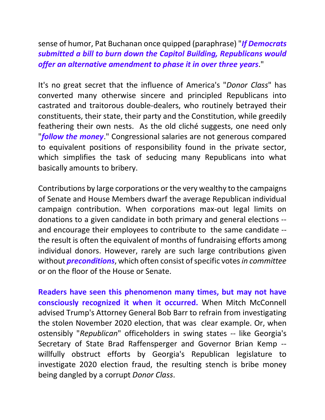sense of humor, Pat Buchanan once quipped (paraphrase) "*If Democrats submitted a bill to burn down the Capitol Building, Republicans would offer an alternative amendment to phase it in over three years*."

It's no great secret that the influence of America's "*Donor Class*" has converted many otherwise sincere and principled Republicans into castrated and traitorous double-dealers, who routinely betrayed their constituents, their state, their party and the Constitution, while greedily feathering their own nests. As the old cliché suggests, one need only "*follow the money*." Congressional salaries are not generous compared to equivalent positions of responsibility found in the private sector, which simplifies the task of seducing many Republicans into what basically amounts to bribery.

Contributions by large corporations or the very wealthy to the campaigns of Senate and House Members dwarf the average Republican individual campaign contribution. When corporations max-out legal limits on donations to a given candidate in both primary and general elections - and encourage their employees to contribute to the same candidate - the result is often the equivalent of months of fundraising efforts among individual donors. However, rarely are such large contributions given without *preconditions*, which often consist of specific votes *in committee* or on the floor of the House or Senate.

**Readers have seen this phenomenon many times, but may not have consciously recognized it when it occurred.** When Mitch McConnell advised Trump's Attorney General Bob Barr to refrain from investigating the stolen November 2020 election, that was clear example. Or, when ostensibly "*Republican*" officeholders in swing states -- like Georgia's Secretary of State Brad Raffensperger and Governor Brian Kemp - willfully obstruct efforts by Georgia's Republican legislature to investigate 2020 election fraud, the resulting stench is bribe money being dangled by a corrupt *Donor Class*.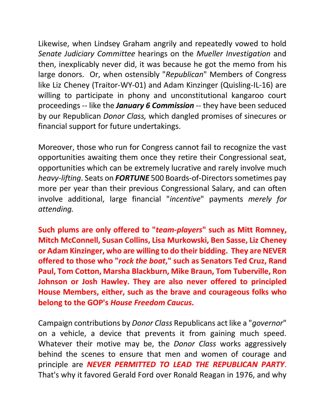Likewise, when Lindsey Graham angrily and repeatedly vowed to hold *Senate Judiciary Committee* hearings on the *Mueller Investigation* and then, inexplicably never did, it was because he got the memo from his large donors. Or, when ostensibly "*Republican*" Members of Congress like Liz Cheney (Traitor-WY-01) and Adam Kinzinger (Quisling-IL-16) are willing to participate in phony and unconstitutional kangaroo court proceedings -- like the *January 6 Commission* -- they have been seduced by our Republican *Donor Class,* which dangled promises of sinecures or financial support for future undertakings.

Moreover, those who run for Congress cannot fail to recognize the vast opportunities awaiting them once they retire their Congressional seat, opportunities which can be extremely lucrative and rarely involve much *heavy-lifting*. Seats on **FORTUNE** 500 Boards-of-Directors sometimes pay more per year than their previous Congressional Salary, and can often involve additional, large financial "*incentive*" payments *merely for attending.* 

**Such plums are only offered to "***team-players***" such as Mitt Romney, Mitch McConnell, Susan Collins, Lisa Murkowski, Ben Sasse, Liz Cheney or Adam Kinzinger, who are willing to do their bidding. They are NEVER offered to those who "***rock the boat***," such as Senators Ted Cruz, Rand Paul, Tom Cotton, Marsha Blackburn, Mike Braun, Tom Tuberville, Ron Johnson or Josh Hawley. They are also never offered to principled House Members, either, such as the brave and courageous folks who belong to the GOP's** *House Freedom Caucus***.**

Campaign contributions by *Donor Class* Republicans act like a "*governor*" on a vehicle, a device that prevents it from gaining much speed. Whatever their motive may be, the *Donor Class* works aggressively behind the scenes to ensure that men and women of courage and principle are *NEVER PERMITTED TO LEAD THE REPUBLICAN PARTY*. That's why it favored Gerald Ford over Ronald Reagan in 1976, and why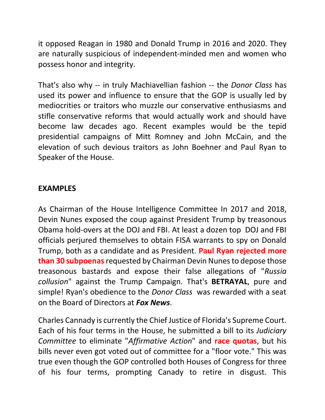it opposed Reagan in 1980 and Donald Trump in 2016 and 2020. They are naturally suspicious of independent-minded men and women who possess honor and integrity.

That's also why -- in truly Machiavellian fashion -- the *Donor Class* has used its power and influence to ensure that the GOP is usually led by mediocrities or traitors who muzzle our conservative enthusiasms and stifle conservative reforms that would actually work and should have become law decades ago. Recent examples would be the tepid presidential campaigns of Mitt Romney and John McCain, and the elevation of such devious traitors as John Boehner and Paul Ryan to Speaker of the House.

## **EXAMPLES**

As Chairman of the House Intelligence Committee In 2017 and 2018, Devin Nunes exposed the coup against President Trump by treasonous Obama hold-overs at the DOJ and FBI. At least a dozen top DOJ and FBI officials perjured themselves to obtain FISA warrants to spy on Donald Trump, both as a candidate and as President. **Paul Ryan rejected more than 30 subpoenas**requested by Chairman Devin Nunes to depose those treasonous bastards and expose their false allegations of "*Russia collusion*" against the Trump Campaign. That's **BETRAYAL**, pure and simple! Ryan's obedience to the *Donor Class* was rewarded with a seat on the Board of Directors at *Fox News*.

Charles Cannady is currently the Chief Justice of Florida's Supreme Court. Each of his four terms in the House, he submitted a bill to its *Judiciary Committee* to eliminate "*Affirmative Action*" and **race quotas**, but his bills never even got voted out of committee for a "floor vote." This was true even though the GOP controlled both Houses of Congress for three of his four terms, prompting Canady to retire in disgust. This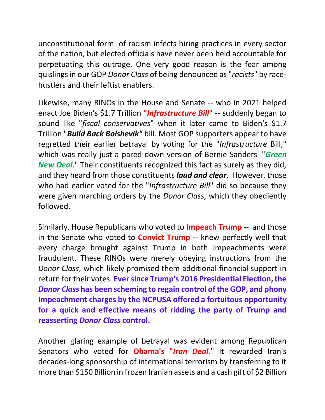unconstitutional form of racism infects hiring practices in every sector of the nation, but elected officials have never been held accountable for perpetuating this outrage. One very good reason is the fear among quislings in our GOP *Donor Class* of being denounced as "*racists*" by racehustlers and their leftist enablers.

Likewise, many RINOs in the House and Senate -- who in 2021 helped enact Joe Biden's \$1.7 Trillion **"***Infrastructure Bill***"** -- suddenly began to sound like "*fiscal conservatives*" when it later came to Biden's \$1.7 Trillion "*Build Back Bolshevik"* bill. Most GOP supporters appear to have regretted their earlier betrayal by voting for the "*Infrastructure* Bill," which was really just a pared-down version of Bernie Sanders' "*Green New Deal*." Their constituents recognized this fact as surely as they did, and they heard from those constituents *loud and clear*. However, those who had earlier voted for the "*Infrastructure Bill*" did so because they were given marching orders by the *Donor Class*, which they obediently followed.

Similarly, House Republicans who voted to **Impeach Trump** -- and those in the Senate who voted to **Convict Trump** -- knew perfectly well that every charge brought against Trump in both Impeachments were fraudulent. These RINOs were merely obeying instructions from the *Donor Class*, which likely promised them additional financial support in return for their votes. **Ever since Trump's 2016 Presidential Election, the**  *Donor Class* **has been scheming to regain control of the GOP, and phony Impeachment charges by the NCPUSA offered a fortuitous opportunity for a quick and effective means of ridding the party of Trump and reasserting** *Donor Class* **control.** 

Another glaring example of betrayal was evident among Republican Senators who voted for **Obama's "***Iran Deal***.**" It rewarded Iran's decades-long sponsorship of international terrorism by transferring to it more than \$150 Billion in frozen Iranian assets and a cash gift of \$2 Billion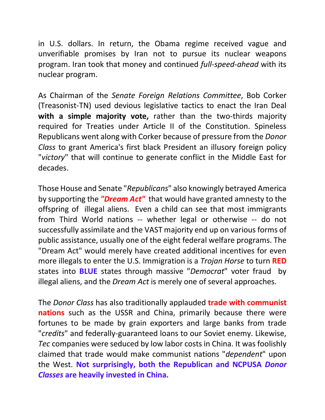in U.S. dollars. In return, the Obama regime received vague and unverifiable promises by Iran not to pursue its nuclear weapons program. Iran took that money and continued *full-speed-ahead* with its nuclear program.

As Chairman of the *Senate Foreign Relations Committee*, Bob Corker (Treasonist-TN) used devious legislative tactics to enact the Iran Deal **with a simple majority vote,** rather than the two-thirds majority required for Treaties under Article II of the Constitution. Spineless Republicans went along with Corker because of pressure from the *Donor Class* to grant America's first black President an illusory foreign policy "*victory*" that will continue to generate conflict in the Middle East for decades.

Those House and Senate "*Republicans*" also knowingly betrayed America by supporting the *"Dream Act"* that would have granted amnesty to the offspring of illegal aliens. Even a child can see that most immigrants from Third World nations -- whether legal or otherwise -- do not successfully assimilate and the VAST majority end up on various forms of public assistance, usually one of the eight federal welfare programs. The "Dream Act" would merely have created additional incentives for even more illegals to enter the U.S. Immigration is a *Trojan Horse* to turn **RED** states into **BLUE** states through massive "*Democrat*" voter fraud by illegal aliens, and the *Dream Act* is merely one of several approaches.

The *Donor Class* has also traditionally applauded **trade with communist nations** such as the USSR and China, primarily because there were fortunes to be made by grain exporters and large banks from trade "*credits*" and federally-guaranteed loans to our Soviet enemy. Likewise, *Tec* companies were seduced by low labor costs in China. It was foolishly claimed that trade would make communist nations "*dependent*" upon the West. **Not surprisingly, both the Republican and NCPUSA** *Donor Classes* **are heavily invested in China.**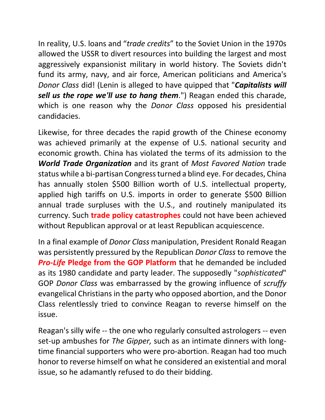In reality, U.S. loans and "*trade credits*" to the Soviet Union in the 1970s allowed the USSR to divert resources into building the largest and most aggressively expansionist military in world history. The Soviets didn't fund its army, navy, and air force, American politicians and America's *Donor Class* did! (Lenin is alleged to have quipped that "*Capitalists will sell us the rope we'll use to hang them*.") Reagan ended this charade, which is one reason why the *Donor Class* opposed his presidential candidacies.

Likewise, for three decades the rapid growth of the Chinese economy was achieved primarily at the expense of U.S. national security and economic growth. China has violated the terms of its admission to the *World Trade Organization* and its grant of *Most Favored Nation* trade status while a bi-partisan Congressturned a blind eye. For decades, China has annually stolen \$500 Billion worth of U.S. intellectual property, applied high tariffs on U.S. imports in order to generate \$500 Billion annual trade surpluses with the U.S., and routinely manipulated its currency. Such **trade policy catastrophes** could not have been achieved without Republican approval or at least Republican acquiescence.

In a final example of *Donor Class* manipulation, President Ronald Reagan was persistently pressured by the Republican *Donor Class* to remove the *Pro-Life* **Pledge from the GOP Platform** that he demanded be included as its 1980 candidate and party leader. The supposedly "*sophisticated*" GOP *Donor Class* was embarrassed by the growing influence of *scruffy* evangelical Christians in the party who opposed abortion, and the Donor Class relentlessly tried to convince Reagan to reverse himself on the issue.

Reagan's silly wife -- the one who regularly consulted astrologers -- even set-up ambushes for *The Gipper,* such as an intimate dinners with longtime financial supporters who were pro-abortion. Reagan had too much honor to reverse himself on what he considered an existential and moral issue, so he adamantly refused to do their bidding.